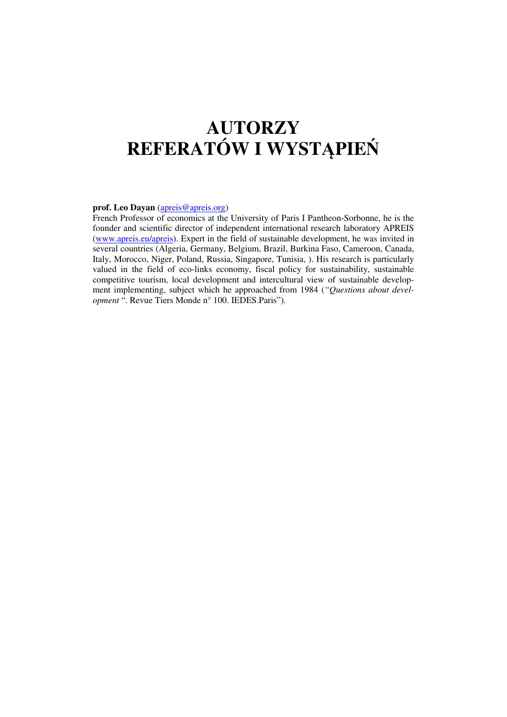# **AUTORZY REFERATÓW I WYST**Ą**PIE**Ń

#### **prof. Leo Dayan** (apreis@apreis.org)

French Professor of economics at the University of Paris I Pantheon-Sorbonne, he is the founder and scientific director of independent international research laboratory APREIS (www.apreis.eu/apreis). Expert in the field of sustainable development, he was invited in several countries (Algeria, Germany, Belgium, Brazil, Burkina Faso, Cameroon, Canada, Italy, Morocco, Niger, Poland, Russia, Singapore, Tunisia, ). His research is particularly valued in the field of eco-links economy, fiscal policy for sustainability, sustainable competitive tourism, local development and intercultural view of sustainable development implementing, subject which he approached from 1984 (*"Questions about development* ". Revue Tiers Monde n° 100. IEDES.Paris").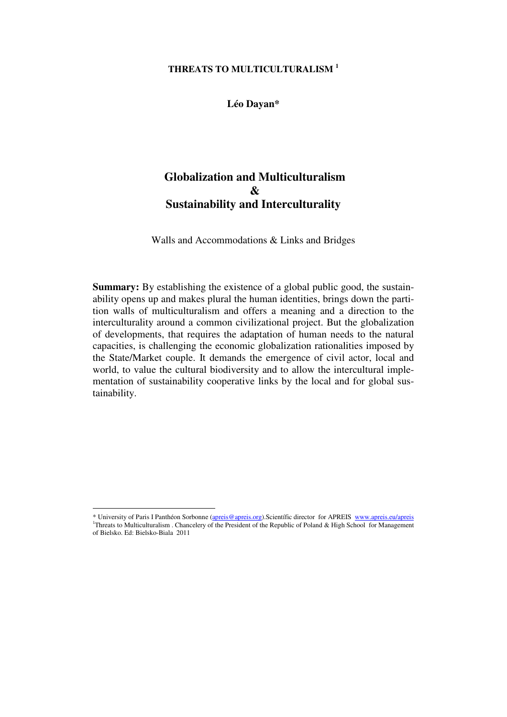### **THREATS TO MULTICULTURALISM <sup>1</sup>**

**Léo Dayan\*** 

# **Globalization and Multiculturalism & Sustainability and Interculturality**

Walls and Accommodations & Links and Bridges

**Summary:** By establishing the existence of a global public good, the sustainability opens up and makes plural the human identities, brings down the partition walls of multiculturalism and offers a meaning and a direction to the interculturality around a common civilizational project. But the globalization of developments, that requires the adaptation of human needs to the natural capacities, is challenging the economic globalization rationalities imposed by the State/Market couple. It demands the emergence of civil actor, local and world, to value the cultural biodiversity and to allow the intercultural implementation of sustainability cooperative links by the local and for global sustainability.

<sup>\*</sup> University of Paris I Panthéon Sorbonne (apreis@apreis.org).Scientífic director for APREIS www.apreis.eu/apreis <sup>1</sup>Threats to Multiculturalism . Chancelery of the President of the Republic of Poland & High School for Management of Bielsko. Ed: Bielsko-Biala 2011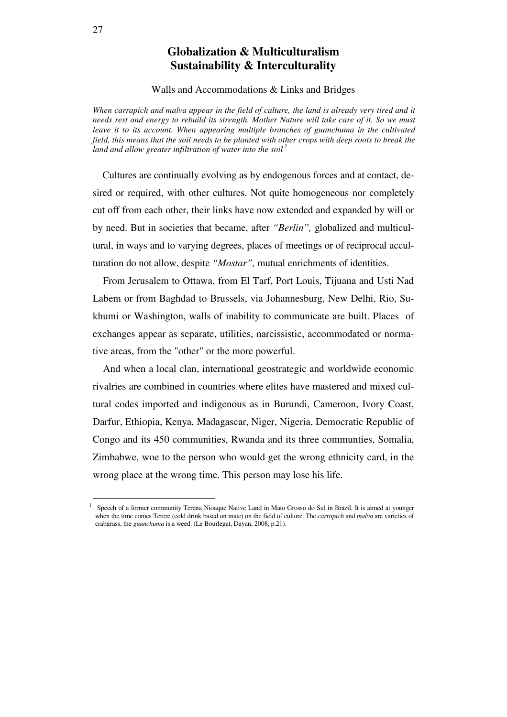# **Globalization & Multiculturalism Sustainability & Interculturality**

Walls and Accommodations & Links and Bridges

*When carrapich and malva appear in the field of culture, the land is already very tired and it needs rest and energy to rebuild its strength. Mother Nature will take care of it. So we must leave it to its account. When appearing multiple branches of guanchuma in the cultivated field, this means that the soil needs to be planted with other crops with deep roots to break the land and allow greater infiltration of water into the soil<sup>2</sup>*

 Cultures are continually evolving as by endogenous forces and at contact, desired or required, with other cultures. Not quite homogeneous nor completely cut off from each other, their links have now extended and expanded by will or by need. But in societies that became, after *"Berlin",* globalized and multicultural, in ways and to varying degrees, places of meetings or of reciprocal acculturation do not allow, despite *"Mostar",* mutual enrichments of identities.

 From Jerusalem to Ottawa, from El Tarf, Port Louis, Tijuana and Usti Nad Labem or from Baghdad to Brussels, via Johannesburg, New Delhi, Rio, Sukhumi or Washington, walls of inability to communicate are built. Places of exchanges appear as separate, utilities, narcissistic, accommodated or normative areas, from the "other" or the more powerful.

 And when a local clan, international geostrategic and worldwide economic rivalries are combined in countries where elites have mastered and mixed cultural codes imported and indigenous as in Burundi, Cameroon, Ivory Coast, Darfur, Ethiopia, Kenya, Madagascar, Niger, Nigeria, Democratic Republic of Congo and its 450 communities, Rwanda and its three communties, Somalia, Zimbabwe, woe to the person who would get the wrong ethnicity card, in the wrong place at the wrong time. This person may lose his life.

<sup>1</sup>Speech of a former community Terena Nioaque Native Land in Mato Grosso do Sul in Brazil. It is aimed at younger when the time comes Terere (cold drink based on mate) on the field of culture. The *carrapich* and *malva* are varieties of crabgrass, the *guanchuma* is a weed. (Le Bourlegat, Dayan, 2008, p.21).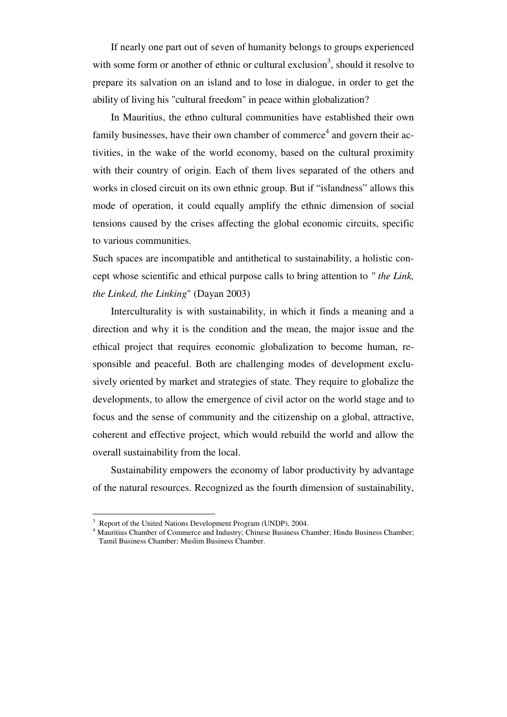If nearly one part out of seven of humanity belongs to groups experienced with some form or another of ethnic or cultural exclusion<sup>3</sup>, should it resolve to prepare its salvation on an island and to lose in dialogue, in order to get the ability of living his "cultural freedom" in peace within globalization?

In Mauritius, the ethno cultural communities have established their own family businesses, have their own chamber of commerce<sup>4</sup> and govern their activities, in the wake of the world economy, based on the cultural proximity with their country of origin. Each of them lives separated of the others and works in closed circuit on its own ethnic group. But if "islandness" allows this mode of operation, it could equally amplify the ethnic dimension of social tensions caused by the crises affecting the global economic circuits, specific to various communities.

Such spaces are incompatible and antithetical to sustainability, a holistic concept whose scientific and ethical purpose calls to bring attention to *" the Link, the Linked, the Linking*" (Dayan 2003)

Interculturality is with sustainability, in which it finds a meaning and a direction and why it is the condition and the mean, the major issue and the ethical project that requires economic globalization to become human, responsible and peaceful. Both are challenging modes of development exclusively oriented by market and strategies of state. They require to globalize the developments, to allow the emergence of civil actor on the world stage and to focus and the sense of community and the citizenship on a global, attractive, coherent and effective project, which would rebuild the world and allow the overall sustainability from the local.

Sustainability empowers the economy of labor productivity by advantage of the natural resources. Recognized as the fourth dimension of sustainability,

<sup>3</sup> Report of the United Nations Development Program (UNDP), 2004.

<sup>4</sup> Mauritius Chamber of Commerce and Industry; Chinese Business Chamber; Hindu Business Chamber; Tamil Business Chamber; Muslim Business Chamber.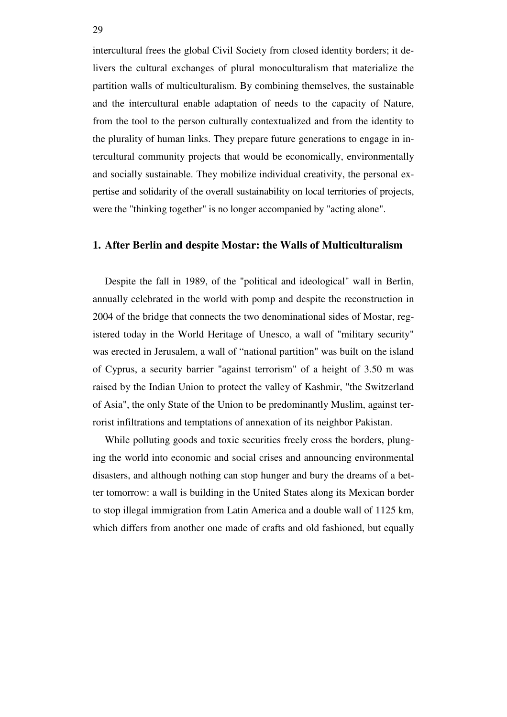intercultural frees the global Civil Society from closed identity borders; it delivers the cultural exchanges of plural monoculturalism that materialize the partition walls of multiculturalism. By combining themselves, the sustainable and the intercultural enable adaptation of needs to the capacity of Nature, from the tool to the person culturally contextualized and from the identity to the plurality of human links. They prepare future generations to engage in intercultural community projects that would be economically, environmentally and socially sustainable. They mobilize individual creativity, the personal expertise and solidarity of the overall sustainability on local territories of projects, were the "thinking together" is no longer accompanied by "acting alone".

#### **1. After Berlin and despite Mostar: the Walls of Multiculturalism**

Despite the fall in 1989, of the "political and ideological" wall in Berlin, annually celebrated in the world with pomp and despite the reconstruction in 2004 of the bridge that connects the two denominational sides of Mostar, registered today in the World Heritage of Unesco, a wall of "military security" was erected in Jerusalem, a wall of "national partition" was built on the island of Cyprus, a security barrier "against terrorism" of a height of 3.50 m was raised by the Indian Union to protect the valley of Kashmir, "the Switzerland of Asia", the only State of the Union to be predominantly Muslim, against terrorist infiltrations and temptations of annexation of its neighbor Pakistan.

While polluting goods and toxic securities freely cross the borders, plunging the world into economic and social crises and announcing environmental disasters, and although nothing can stop hunger and bury the dreams of a better tomorrow: a wall is building in the United States along its Mexican border to stop illegal immigration from Latin America and a double wall of 1125 km, which differs from another one made of crafts and old fashioned, but equally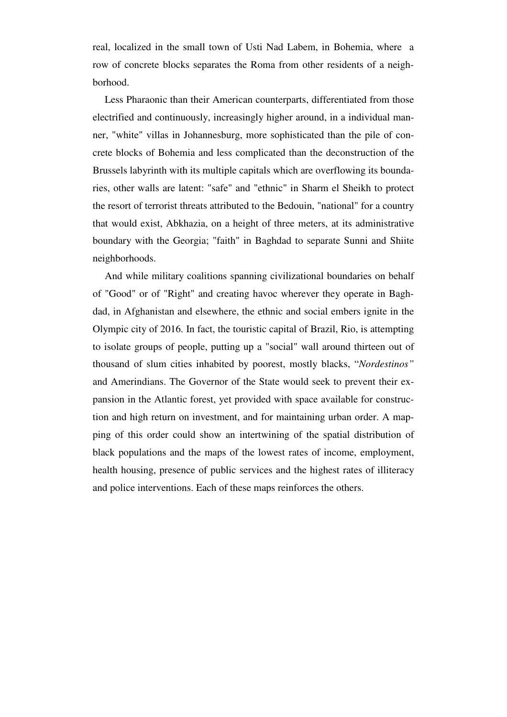real, localized in the small town of Usti Nad Labem, in Bohemia, where a row of concrete blocks separates the Roma from other residents of a neighborhood.

Less Pharaonic than their American counterparts, differentiated from those electrified and continuously, increasingly higher around, in a individual manner, "white" villas in Johannesburg, more sophisticated than the pile of concrete blocks of Bohemia and less complicated than the deconstruction of the Brussels labyrinth with its multiple capitals which are overflowing its boundaries, other walls are latent: "safe" and "ethnic" in Sharm el Sheikh to protect the resort of terrorist threats attributed to the Bedouin, "national" for a country that would exist, Abkhazia, on a height of three meters, at its administrative boundary with the Georgia; "faith" in Baghdad to separate Sunni and Shiite neighborhoods.

And while military coalitions spanning civilizational boundaries on behalf of "Good" or of "Right" and creating havoc wherever they operate in Baghdad, in Afghanistan and elsewhere, the ethnic and social embers ignite in the Olympic city of 2016. In fact, the touristic capital of Brazil, Rio, is attempting to isolate groups of people, putting up a "social" wall around thirteen out of thousand of slum cities inhabited by poorest, mostly blacks, "*Nordestinos"* and Amerindians. The Governor of the State would seek to prevent their expansion in the Atlantic forest, yet provided with space available for construction and high return on investment, and for maintaining urban order. A mapping of this order could show an intertwining of the spatial distribution of black populations and the maps of the lowest rates of income, employment, health housing, presence of public services and the highest rates of illiteracy and police interventions. Each of these maps reinforces the others.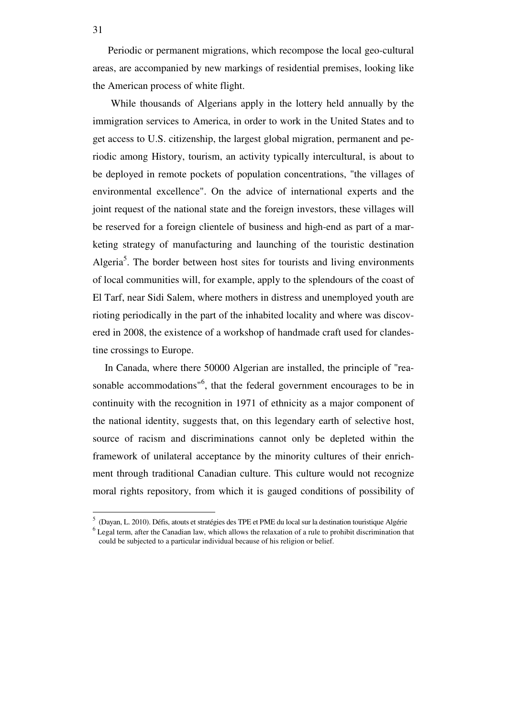Periodic or permanent migrations, which recompose the local geo-cultural areas, are accompanied by new markings of residential premises, looking like the American process of white flight.

 While thousands of Algerians apply in the lottery held annually by the immigration services to America, in order to work in the United States and to get access to U.S. citizenship, the largest global migration, permanent and periodic among History, tourism, an activity typically intercultural, is about to be deployed in remote pockets of population concentrations, "the villages of environmental excellence". On the advice of international experts and the joint request of the national state and the foreign investors, these villages will be reserved for a foreign clientele of business and high-end as part of a marketing strategy of manufacturing and launching of the touristic destination Algeria<sup>5</sup>. The border between host sites for tourists and living environments of local communities will, for example, apply to the splendours of the coast of El Tarf, near Sidi Salem, where mothers in distress and unemployed youth are rioting periodically in the part of the inhabited locality and where was discovered in 2008, the existence of a workshop of handmade craft used for clandestine crossings to Europe.

In Canada, where there 50000 Algerian are installed, the principle of "reasonable accommodations<sup>"6</sup>, that the federal government encourages to be in continuity with the recognition in 1971 of ethnicity as a major component of the national identity, suggests that, on this legendary earth of selective host, source of racism and discriminations cannot only be depleted within the framework of unilateral acceptance by the minority cultures of their enrichment through traditional Canadian culture. This culture would not recognize moral rights repository, from which it is gauged conditions of possibility of

<sup>5</sup> (Dayan, L. 2010). Défis, atouts et stratégies des TPE et PME du local sur la destination touristique Algérie <sup>6</sup> Legal term, after the Canadian law, which allows the relaxation of a rule to prohibit discrimination that could be subjected to a particular individual because of his religion or belief.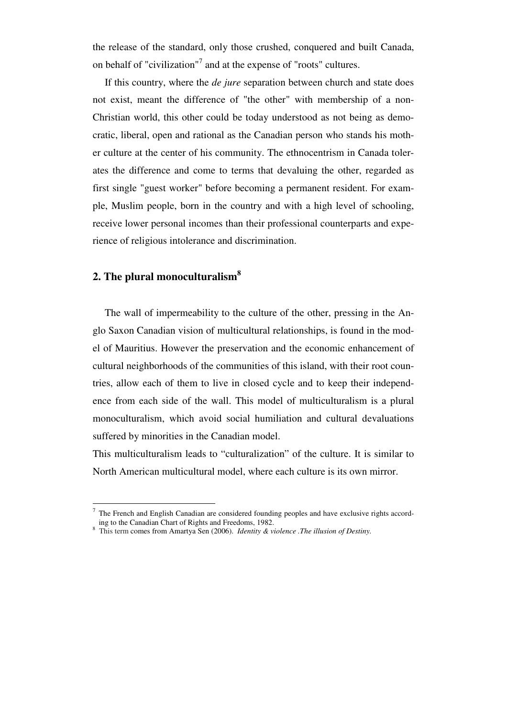the release of the standard, only those crushed, conquered and built Canada, on behalf of "civilization"<sup>7</sup> and at the expense of "roots" cultures.

If this country, where the *de jure* separation between church and state does not exist, meant the difference of "the other" with membership of a non-Christian world, this other could be today understood as not being as democratic, liberal, open and rational as the Canadian person who stands his mother culture at the center of his community. The ethnocentrism in Canada tolerates the difference and come to terms that devaluing the other, regarded as first single "guest worker" before becoming a permanent resident. For example, Muslim people, born in the country and with a high level of schooling, receive lower personal incomes than their professional counterparts and experience of religious intolerance and discrimination.

# **2. The plural monoculturalism<sup>8</sup>**

 $\overline{a}$ 

The wall of impermeability to the culture of the other, pressing in the Anglo Saxon Canadian vision of multicultural relationships, is found in the model of Mauritius. However the preservation and the economic enhancement of cultural neighborhoods of the communities of this island, with their root countries, allow each of them to live in closed cycle and to keep their independence from each side of the wall. This model of multiculturalism is a plural monoculturalism, which avoid social humiliation and cultural devaluations suffered by minorities in the Canadian model.

This multiculturalism leads to "culturalization" of the culture. It is similar to North American multicultural model, where each culture is its own mirror.

<sup>7</sup> The French and English Canadian are considered founding peoples and have exclusive rights according to the Canadian Chart of Rights and Freedoms, 1982.

<sup>8</sup> This term comes from Amartya Sen (2006). *Identity & violence .The illusion of Destiny.*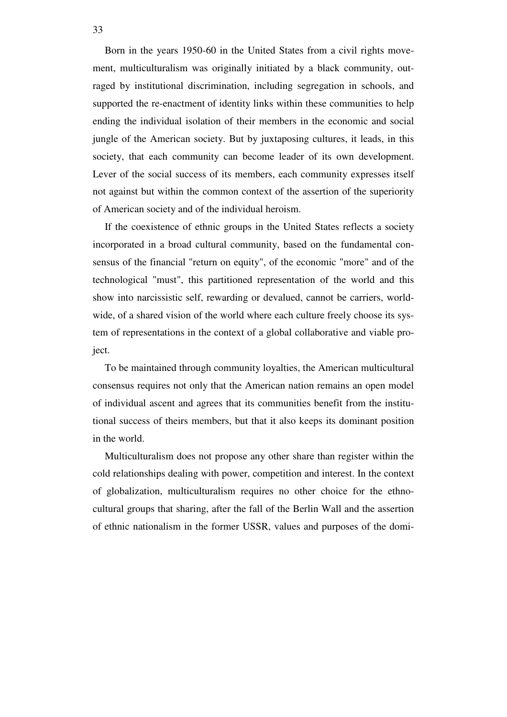Born in the years 1950-60 in the United States from a civil rights movement, multiculturalism was originally initiated by a black community, outraged by institutional discrimination, including segregation in schools, and supported the re-enactment of identity links within these communities to help ending the individual isolation of their members in the economic and social jungle of the American society. But by juxtaposing cultures, it leads, in this society, that each community can become leader of its own development. Lever of the social success of its members, each community expresses itself not against but within the common context of the assertion of the superiority of American society and of the individual heroism.

If the coexistence of ethnic groups in the United States reflects a society incorporated in a broad cultural community, based on the fundamental consensus of the financial "return on equity", of the economic "more" and of the technological "must", this partitioned representation of the world and this show into narcissistic self, rewarding or devalued, cannot be carriers, worldwide, of a shared vision of the world where each culture freely choose its system of representations in the context of a global collaborative and viable project.

To be maintained through community loyalties, the American multicultural consensus requires not only that the American nation remains an open model of individual ascent and agrees that its communities benefit from the institutional success of theirs members, but that it also keeps its dominant position in the world.

Multiculturalism does not propose any other share than register within the cold relationships dealing with power, competition and interest. In the context of globalization, multiculturalism requires no other choice for the ethnocultural groups that sharing, after the fall of the Berlin Wall and the assertion of ethnic nationalism in the former USSR, values and purposes of the domi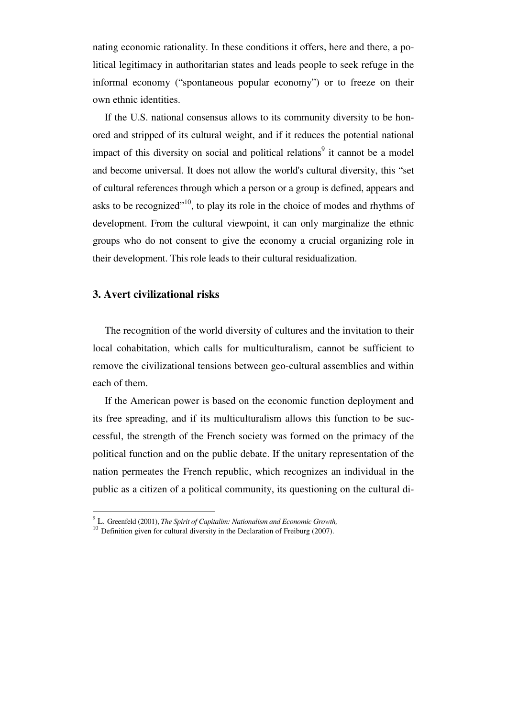nating economic rationality. In these conditions it offers, here and there, a political legitimacy in authoritarian states and leads people to seek refuge in the informal economy ("spontaneous popular economy") or to freeze on their own ethnic identities.

If the U.S. national consensus allows to its community diversity to be honored and stripped of its cultural weight, and if it reduces the potential national impact of this diversity on social and political relations<sup>9</sup> it cannot be a model and become universal. It does not allow the world's cultural diversity, this "set of cultural references through which a person or a group is defined, appears and asks to be recognized"<sup>10</sup>, to play its role in the choice of modes and rhythms of development. From the cultural viewpoint, it can only marginalize the ethnic groups who do not consent to give the economy a crucial organizing role in their development. This role leads to their cultural residualization.

### **3. Avert civilizational risks**

 $\overline{a}$ 

The recognition of the world diversity of cultures and the invitation to their local cohabitation, which calls for multiculturalism, cannot be sufficient to remove the civilizational tensions between geo-cultural assemblies and within each of them.

If the American power is based on the economic function deployment and its free spreading, and if its multiculturalism allows this function to be successful, the strength of the French society was formed on the primacy of the political function and on the public debate. If the unitary representation of the nation permeates the French republic, which recognizes an individual in the public as a citizen of a political community, its questioning on the cultural di-

<sup>9</sup> L. Greenfeld (2001), *The Spirit of Capitalim: Nationalism and Economic Growth,*

<sup>&</sup>lt;sup>10</sup> Definition given for cultural diversity in the Declaration of Freiburg (2007).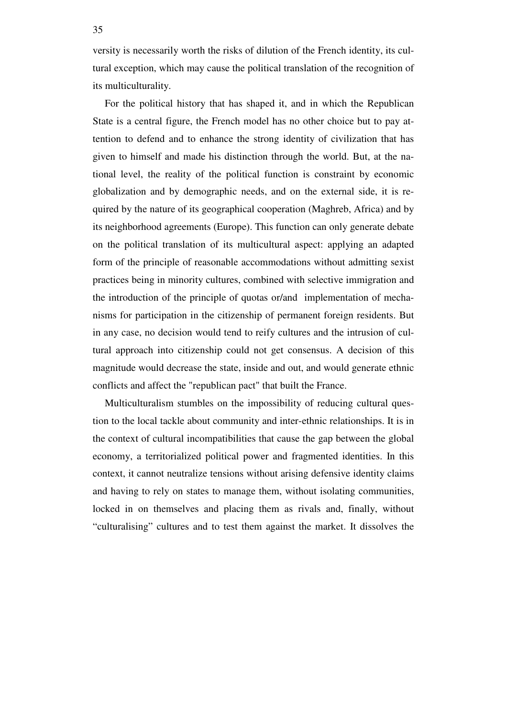versity is necessarily worth the risks of dilution of the French identity, its cultural exception, which may cause the political translation of the recognition of its multiculturality.

For the political history that has shaped it, and in which the Republican State is a central figure, the French model has no other choice but to pay attention to defend and to enhance the strong identity of civilization that has given to himself and made his distinction through the world. But, at the national level, the reality of the political function is constraint by economic globalization and by demographic needs, and on the external side, it is required by the nature of its geographical cooperation (Maghreb, Africa) and by its neighborhood agreements (Europe). This function can only generate debate on the political translation of its multicultural aspect: applying an adapted form of the principle of reasonable accommodations without admitting sexist practices being in minority cultures, combined with selective immigration and the introduction of the principle of quotas or/and implementation of mechanisms for participation in the citizenship of permanent foreign residents. But in any case, no decision would tend to reify cultures and the intrusion of cultural approach into citizenship could not get consensus. A decision of this magnitude would decrease the state, inside and out, and would generate ethnic conflicts and affect the "republican pact" that built the France.

Multiculturalism stumbles on the impossibility of reducing cultural question to the local tackle about community and inter-ethnic relationships. It is in the context of cultural incompatibilities that cause the gap between the global economy, a territorialized political power and fragmented identities. In this context, it cannot neutralize tensions without arising defensive identity claims and having to rely on states to manage them, without isolating communities, locked in on themselves and placing them as rivals and, finally, without "culturalising" cultures and to test them against the market. It dissolves the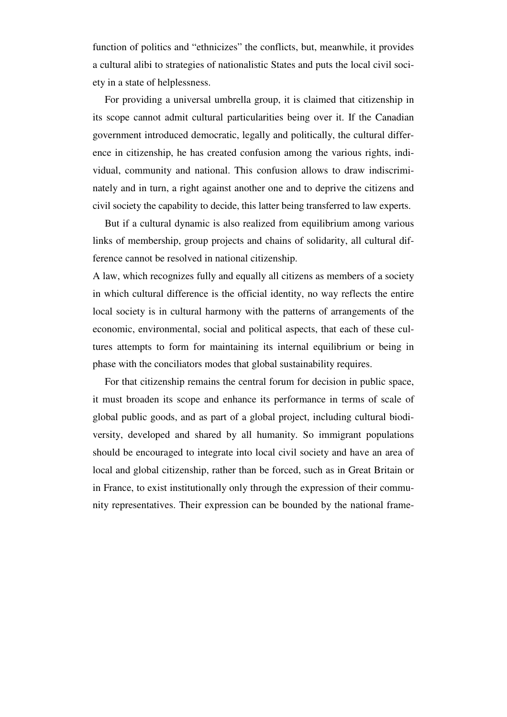function of politics and "ethnicizes" the conflicts, but, meanwhile, it provides a cultural alibi to strategies of nationalistic States and puts the local civil society in a state of helplessness.

For providing a universal umbrella group, it is claimed that citizenship in its scope cannot admit cultural particularities being over it. If the Canadian government introduced democratic, legally and politically, the cultural difference in citizenship, he has created confusion among the various rights, individual, community and national. This confusion allows to draw indiscriminately and in turn, a right against another one and to deprive the citizens and civil society the capability to decide, this latter being transferred to law experts.

But if a cultural dynamic is also realized from equilibrium among various links of membership, group projects and chains of solidarity, all cultural difference cannot be resolved in national citizenship.

A law, which recognizes fully and equally all citizens as members of a society in which cultural difference is the official identity, no way reflects the entire local society is in cultural harmony with the patterns of arrangements of the economic, environmental, social and political aspects, that each of these cultures attempts to form for maintaining its internal equilibrium or being in phase with the conciliators modes that global sustainability requires.

For that citizenship remains the central forum for decision in public space, it must broaden its scope and enhance its performance in terms of scale of global public goods, and as part of a global project, including cultural biodiversity, developed and shared by all humanity. So immigrant populations should be encouraged to integrate into local civil society and have an area of local and global citizenship, rather than be forced, such as in Great Britain or in France, to exist institutionally only through the expression of their community representatives. Their expression can be bounded by the national frame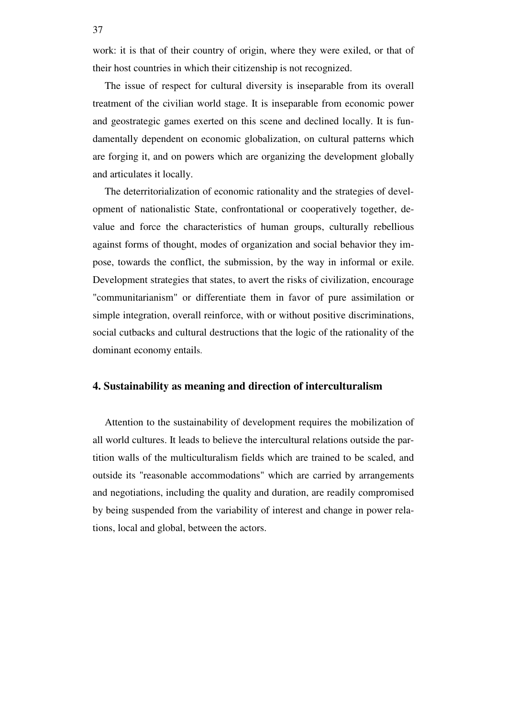work: it is that of their country of origin, where they were exiled, or that of their host countries in which their citizenship is not recognized.

The issue of respect for cultural diversity is inseparable from its overall treatment of the civilian world stage. It is inseparable from economic power and geostrategic games exerted on this scene and declined locally. It is fundamentally dependent on economic globalization, on cultural patterns which are forging it, and on powers which are organizing the development globally and articulates it locally.

The deterritorialization of economic rationality and the strategies of development of nationalistic State, confrontational or cooperatively together, devalue and force the characteristics of human groups, culturally rebellious against forms of thought, modes of organization and social behavior they impose, towards the conflict, the submission, by the way in informal or exile. Development strategies that states, to avert the risks of civilization, encourage "communitarianism" or differentiate them in favor of pure assimilation or simple integration, overall reinforce, with or without positive discriminations, social cutbacks and cultural destructions that the logic of the rationality of the dominant economy entails.

#### **4. Sustainability as meaning and direction of interculturalism**

Attention to the sustainability of development requires the mobilization of all world cultures. It leads to believe the intercultural relations outside the partition walls of the multiculturalism fields which are trained to be scaled, and outside its "reasonable accommodations" which are carried by arrangements and negotiations, including the quality and duration, are readily compromised by being suspended from the variability of interest and change in power relations, local and global, between the actors.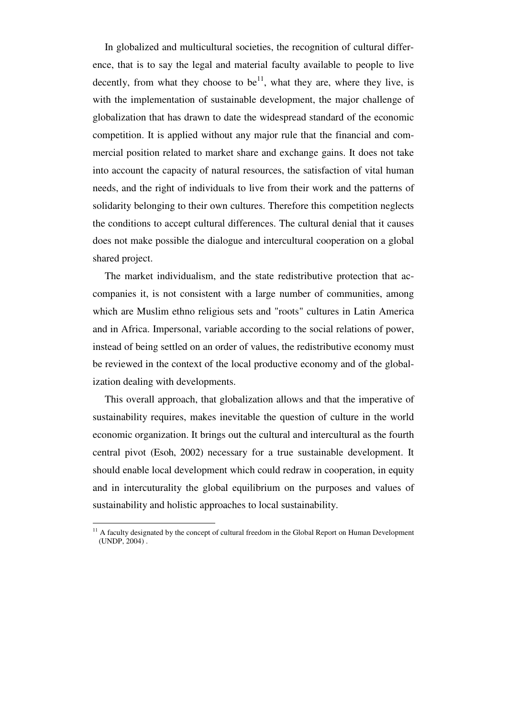In globalized and multicultural societies, the recognition of cultural difference, that is to say the legal and material faculty available to people to live decently, from what they choose to be<sup>11</sup>, what they are, where they live, is with the implementation of sustainable development, the major challenge of globalization that has drawn to date the widespread standard of the economic competition. It is applied without any major rule that the financial and commercial position related to market share and exchange gains. It does not take into account the capacity of natural resources, the satisfaction of vital human needs, and the right of individuals to live from their work and the patterns of solidarity belonging to their own cultures. Therefore this competition neglects the conditions to accept cultural differences. The cultural denial that it causes does not make possible the dialogue and intercultural cooperation on a global shared project.

The market individualism, and the state redistributive protection that accompanies it, is not consistent with a large number of communities, among which are Muslim ethno religious sets and "roots" cultures in Latin America and in Africa. Impersonal, variable according to the social relations of power, instead of being settled on an order of values, the redistributive economy must be reviewed in the context of the local productive economy and of the globalization dealing with developments.

This overall approach, that globalization allows and that the imperative of sustainability requires, makes inevitable the question of culture in the world economic organization. It brings out the cultural and intercultural as the fourth central pivot (Esoh, 2002) necessary for a true sustainable development. It should enable local development which could redraw in cooperation, in equity and in intercuturality the global equilibrium on the purposes and values of sustainability and holistic approaches to local sustainability.

<sup>&</sup>lt;sup>11</sup> A faculty designated by the concept of cultural freedom in the Global Report on Human Development (UNDP, 2004) .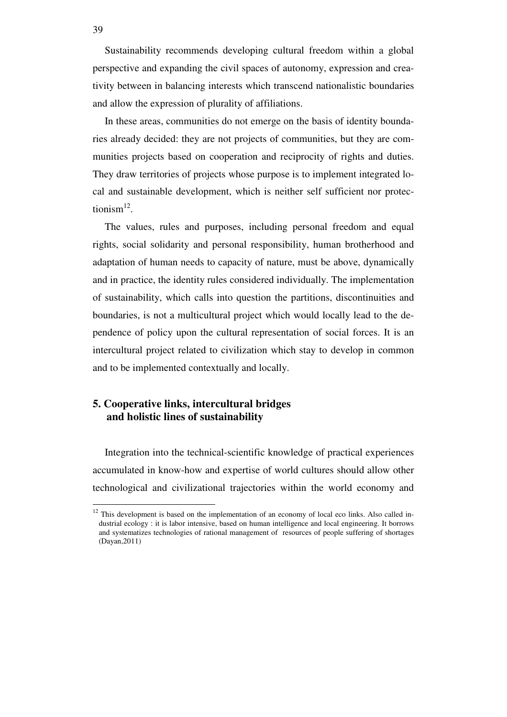Sustainability recommends developing cultural freedom within a global perspective and expanding the civil spaces of autonomy, expression and creativity between in balancing interests which transcend nationalistic boundaries and allow the expression of plurality of affiliations.

In these areas, communities do not emerge on the basis of identity boundaries already decided: they are not projects of communities, but they are communities projects based on cooperation and reciprocity of rights and duties. They draw territories of projects whose purpose is to implement integrated local and sustainable development, which is neither self sufficient nor protectionism $^{12}$ .

The values, rules and purposes, including personal freedom and equal rights, social solidarity and personal responsibility, human brotherhood and adaptation of human needs to capacity of nature, must be above, dynamically and in practice, the identity rules considered individually. The implementation of sustainability, which calls into question the partitions, discontinuities and boundaries, is not a multicultural project which would locally lead to the dependence of policy upon the cultural representation of social forces. It is an intercultural project related to civilization which stay to develop in common and to be implemented contextually and locally.

## **5. Cooperative links, intercultural bridges and holistic lines of sustainability**

Integration into the technical-scientific knowledge of practical experiences accumulated in know-how and expertise of world cultures should allow other technological and civilizational trajectories within the world economy and

39

 $12$  This development is based on the implementation of an economy of local eco links. Also called industrial ecology : it is labor intensive, based on human intelligence and local engineering. It borrows and systematizes technologies of rational management of resources of people suffering of shortages (Dayan,2011)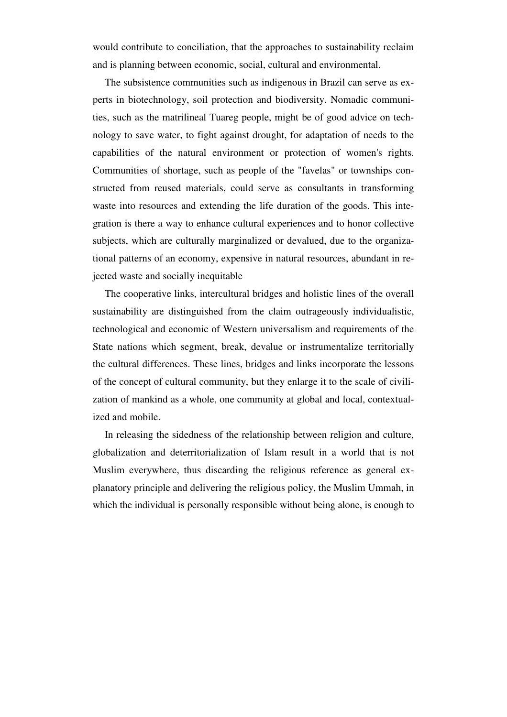would contribute to conciliation, that the approaches to sustainability reclaim and is planning between economic, social, cultural and environmental.

The subsistence communities such as indigenous in Brazil can serve as experts in biotechnology, soil protection and biodiversity. Nomadic communities, such as the matrilineal Tuareg people, might be of good advice on technology to save water, to fight against drought, for adaptation of needs to the capabilities of the natural environment or protection of women's rights. Communities of shortage, such as people of the "favelas" or townships constructed from reused materials, could serve as consultants in transforming waste into resources and extending the life duration of the goods. This integration is there a way to enhance cultural experiences and to honor collective subjects, which are culturally marginalized or devalued, due to the organizational patterns of an economy, expensive in natural resources, abundant in rejected waste and socially inequitable

The cooperative links, intercultural bridges and holistic lines of the overall sustainability are distinguished from the claim outrageously individualistic, technological and economic of Western universalism and requirements of the State nations which segment, break, devalue or instrumentalize territorially the cultural differences. These lines, bridges and links incorporate the lessons of the concept of cultural community, but they enlarge it to the scale of civilization of mankind as a whole, one community at global and local, contextualized and mobile.

In releasing the sidedness of the relationship between religion and culture, globalization and deterritorialization of Islam result in a world that is not Muslim everywhere, thus discarding the religious reference as general explanatory principle and delivering the religious policy, the Muslim Ummah, in which the individual is personally responsible without being alone, is enough to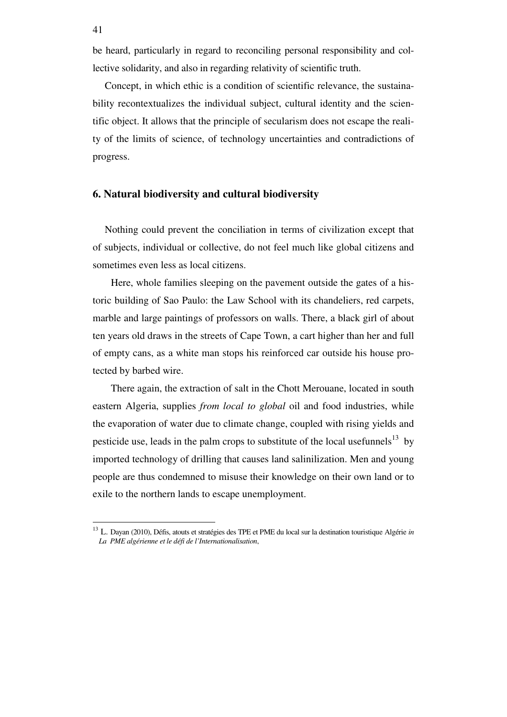be heard, particularly in regard to reconciling personal responsibility and collective solidarity, and also in regarding relativity of scientific truth.

Concept, in which ethic is a condition of scientific relevance, the sustainability recontextualizes the individual subject, cultural identity and the scientific object. It allows that the principle of secularism does not escape the reality of the limits of science, of technology uncertainties and contradictions of progress.

## **6. Natural biodiversity and cultural biodiversity**

Nothing could prevent the conciliation in terms of civilization except that of subjects, individual or collective, do not feel much like global citizens and sometimes even less as local citizens.

Here, whole families sleeping on the pavement outside the gates of a historic building of Sao Paulo: the Law School with its chandeliers, red carpets, marble and large paintings of professors on walls. There, a black girl of about ten years old draws in the streets of Cape Town, a cart higher than her and full of empty cans, as a white man stops his reinforced car outside his house protected by barbed wire.

There again, the extraction of salt in the Chott Merouane, located in south eastern Algeria, supplies *from local to global* oil and food industries, while the evaporation of water due to climate change, coupled with rising yields and pesticide use, leads in the palm crops to substitute of the local usefunnels<sup>13</sup> by imported technology of drilling that causes land salinilization. Men and young people are thus condemned to misuse their knowledge on their own land or to exile to the northern lands to escape unemployment.

<sup>13</sup> L. Dayan (2010), Défis, atouts et stratégies des TPE et PME du local sur la destination touristique Algérie *in La PME algérienne et le défi de l'Internationalisation*,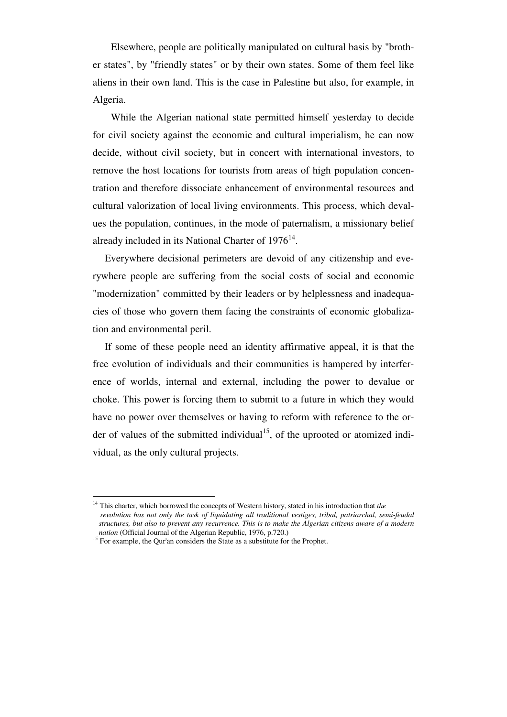Elsewhere, people are politically manipulated on cultural basis by "brother states", by "friendly states" or by their own states. Some of them feel like aliens in their own land. This is the case in Palestine but also, for example, in Algeria.

While the Algerian national state permitted himself yesterday to decide for civil society against the economic and cultural imperialism, he can now decide, without civil society, but in concert with international investors, to remove the host locations for tourists from areas of high population concentration and therefore dissociate enhancement of environmental resources and cultural valorization of local living environments. This process, which devalues the population, continues, in the mode of paternalism, a missionary belief already included in its National Charter of  $1976<sup>14</sup>$ .

Everywhere decisional perimeters are devoid of any citizenship and everywhere people are suffering from the social costs of social and economic "modernization" committed by their leaders or by helplessness and inadequacies of those who govern them facing the constraints of economic globalization and environmental peril.

If some of these people need an identity affirmative appeal, it is that the free evolution of individuals and their communities is hampered by interference of worlds, internal and external, including the power to devalue or choke. This power is forcing them to submit to a future in which they would have no power over themselves or having to reform with reference to the order of values of the submitted individual<sup>15</sup>, of the uprooted or atomized individual, as the only cultural projects.

 $\overline{a}$ <sup>14</sup> This charter, which borrowed the concepts of Western history, stated in his introduction that *the revolution has not only the task of liquidating all traditional vestiges, tribal, patriarchal, semi-feudal structures, but also to prevent any recurrence. This is to make the Algerian citizens aware of a modern nation* (Official Journal of the Algerian Republic, 1976, p.720.)

<sup>&</sup>lt;sup>15</sup> For example, the Qur'an considers the State as a substitute for the Prophet.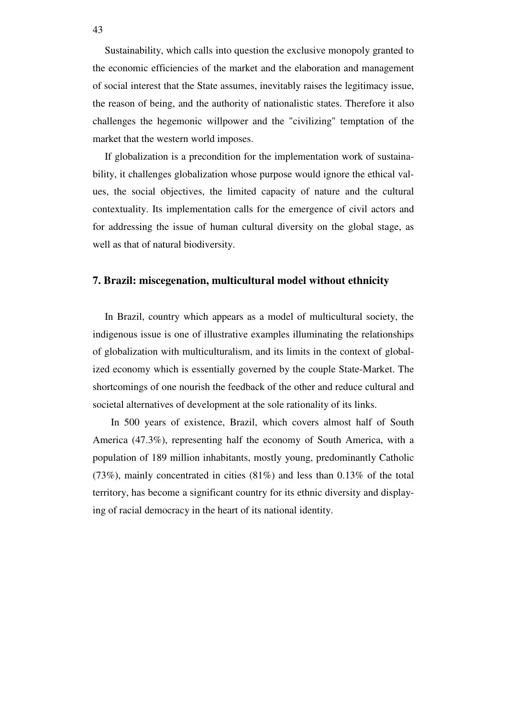Sustainability, which calls into question the exclusive monopoly granted to the economic efficiencies of the market and the elaboration and management of social interest that the State assumes, inevitably raises the legitimacy issue, the reason of being, and the authority of nationalistic states. Therefore it also challenges the hegemonic willpower and the "civilizing" temptation of the market that the western world imposes.

If globalization is a precondition for the implementation work of sustainability, it challenges globalization whose purpose would ignore the ethical values, the social objectives, the limited capacity of nature and the cultural contextuality. Its implementation calls for the emergence of civil actors and for addressing the issue of human cultural diversity on the global stage, as well as that of natural biodiversity.

## **7. Brazil: miscegenation, multicultural model without ethnicity**

In Brazil, country which appears as a model of multicultural society, the indigenous issue is one of illustrative examples illuminating the relationships of globalization with multiculturalism, and its limits in the context of globalized economy which is essentially governed by the couple State-Market. The shortcomings of one nourish the feedback of the other and reduce cultural and societal alternatives of development at the sole rationality of its links.

In 500 years of existence, Brazil, which covers almost half of South America (47.3%), representing half the economy of South America, with a population of 189 million inhabitants, mostly young, predominantly Catholic (73%), mainly concentrated in cities (81%) and less than 0.13% of the total territory, has become a significant country for its ethnic diversity and displaying of racial democracy in the heart of its national identity.

43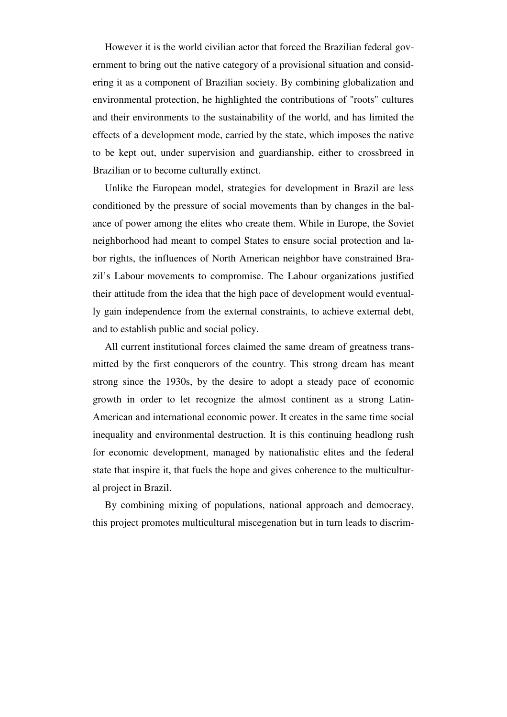However it is the world civilian actor that forced the Brazilian federal government to bring out the native category of a provisional situation and considering it as a component of Brazilian society. By combining globalization and environmental protection, he highlighted the contributions of "roots" cultures and their environments to the sustainability of the world, and has limited the effects of a development mode, carried by the state, which imposes the native to be kept out, under supervision and guardianship, either to crossbreed in Brazilian or to become culturally extinct.

Unlike the European model, strategies for development in Brazil are less conditioned by the pressure of social movements than by changes in the balance of power among the elites who create them. While in Europe, the Soviet neighborhood had meant to compel States to ensure social protection and labor rights, the influences of North American neighbor have constrained Brazil's Labour movements to compromise. The Labour organizations justified their attitude from the idea that the high pace of development would eventually gain independence from the external constraints, to achieve external debt, and to establish public and social policy.

All current institutional forces claimed the same dream of greatness transmitted by the first conquerors of the country. This strong dream has meant strong since the 1930s, by the desire to adopt a steady pace of economic growth in order to let recognize the almost continent as a strong Latin-American and international economic power. It creates in the same time social inequality and environmental destruction. It is this continuing headlong rush for economic development, managed by nationalistic elites and the federal state that inspire it, that fuels the hope and gives coherence to the multicultural project in Brazil.

By combining mixing of populations, national approach and democracy, this project promotes multicultural miscegenation but in turn leads to discrim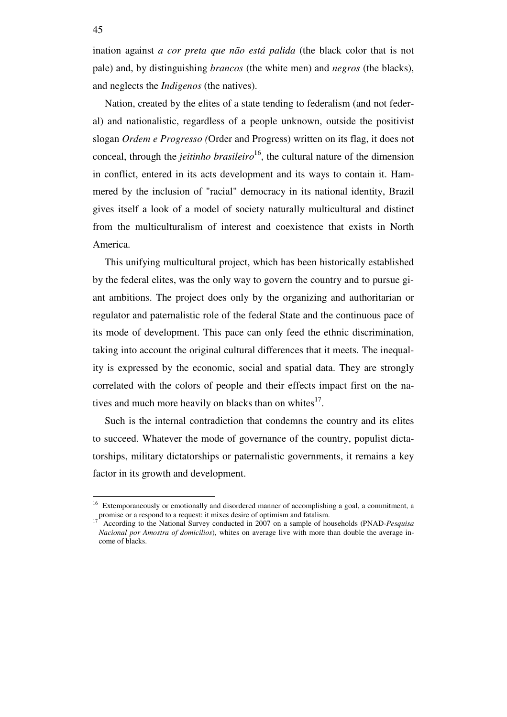ination against *a cor preta que não está palida* (the black color that is not pale) and, by distinguishing *brancos* (the white men) and *negros* (the blacks), and neglects the *Indigenos* (the natives).

Nation, created by the elites of a state tending to federalism (and not federal) and nationalistic, regardless of a people unknown, outside the positivist slogan *Ordem e Progresso (*Order and Progress) written on its flag, it does not conceal, through the *jeitinho brasileiro*<sup>16</sup>, the cultural nature of the dimension in conflict, entered in its acts development and its ways to contain it. Hammered by the inclusion of "racial" democracy in its national identity, Brazil gives itself a look of a model of society naturally multicultural and distinct from the multiculturalism of interest and coexistence that exists in North America.

This unifying multicultural project, which has been historically established by the federal elites, was the only way to govern the country and to pursue giant ambitions. The project does only by the organizing and authoritarian or regulator and paternalistic role of the federal State and the continuous pace of its mode of development. This pace can only feed the ethnic discrimination, taking into account the original cultural differences that it meets. The inequality is expressed by the economic, social and spatial data. They are strongly correlated with the colors of people and their effects impact first on the natives and much more heavily on blacks than on whites<sup>17</sup>.

Such is the internal contradiction that condemns the country and its elites to succeed. Whatever the mode of governance of the country, populist dictatorships, military dictatorships or paternalistic governments, it remains a key factor in its growth and development.

<sup>&</sup>lt;sup>16</sup> Extemporaneously or emotionally and disordered manner of accomplishing a goal, a commitment, a promise or a respond to a request: it mixes desire of optimism and fatalism.

<sup>17</sup> According to the National Survey conducted in 2007 on a sample of households (PNAD-*Pesquisa Nacional por Amostra of domicilios*), whites on average live with more than double the average income of blacks.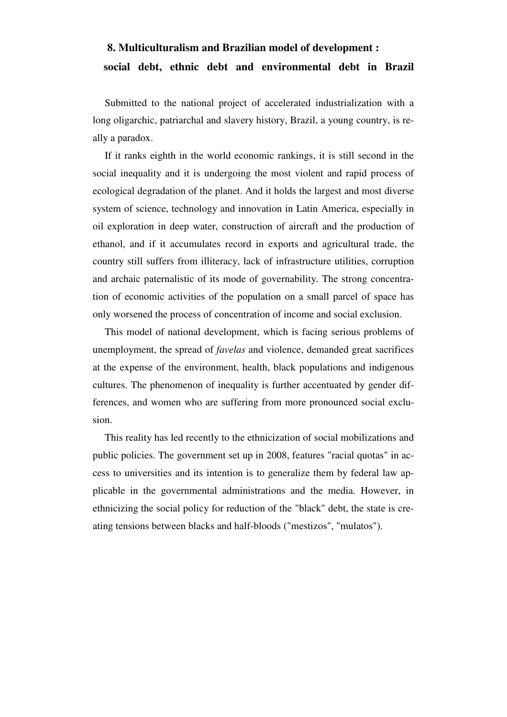# **8. Multiculturalism and Brazilian model of development : social debt, ethnic debt and environmental debt in Brazil**

Submitted to the national project of accelerated industrialization with a long oligarchic, patriarchal and slavery history, Brazil, a young country, is really a paradox.

If it ranks eighth in the world economic rankings, it is still second in the social inequality and it is undergoing the most violent and rapid process of ecological degradation of the planet. And it holds the largest and most diverse system of science, technology and innovation in Latin America, especially in oil exploration in deep water, construction of aircraft and the production of ethanol, and if it accumulates record in exports and agricultural trade, the country still suffers from illiteracy, lack of infrastructure utilities, corruption and archaic paternalistic of its mode of governability. The strong concentration of economic activities of the population on a small parcel of space has only worsened the process of concentration of income and social exclusion.

This model of national development, which is facing serious problems of unemployment, the spread of *favelas* and violence, demanded great sacrifices at the expense of the environment, health, black populations and indigenous cultures. The phenomenon of inequality is further accentuated by gender differences, and women who are suffering from more pronounced social exclusion.

This reality has led recently to the ethnicization of social mobilizations and public policies. The government set up in 2008, features "racial quotas" in access to universities and its intention is to generalize them by federal law applicable in the governmental administrations and the media. However, in ethnicizing the social policy for reduction of the "black" debt, the state is creating tensions between blacks and half-bloods ("mestizos", "mulatos").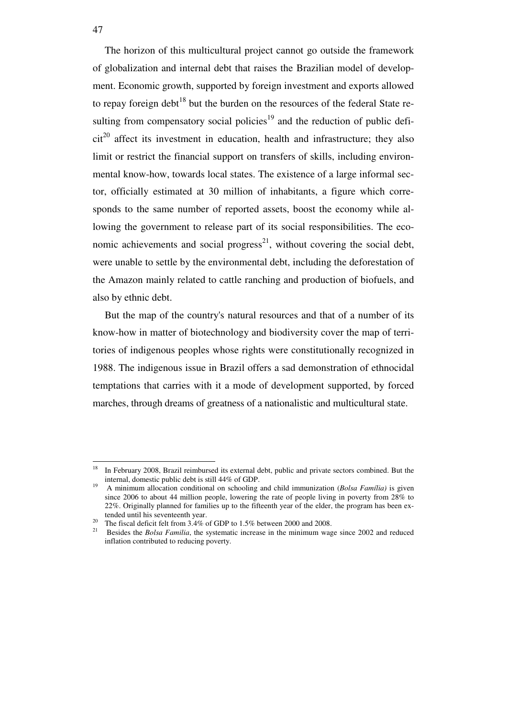The horizon of this multicultural project cannot go outside the framework of globalization and internal debt that raises the Brazilian model of development. Economic growth, supported by foreign investment and exports allowed to repay foreign debt<sup>18</sup> but the burden on the resources of the federal State resulting from compensatory social policies<sup>19</sup> and the reduction of public defi $cit<sup>20</sup>$  affect its investment in education, health and infrastructure; they also limit or restrict the financial support on transfers of skills, including environmental know-how, towards local states. The existence of a large informal sector, officially estimated at 30 million of inhabitants, a figure which corresponds to the same number of reported assets, boost the economy while allowing the government to release part of its social responsibilities. The economic achievements and social progress<sup>21</sup>, without covering the social debt, were unable to settle by the environmental debt, including the deforestation of the Amazon mainly related to cattle ranching and production of biofuels, and also by ethnic debt.

But the map of the country's natural resources and that of a number of its know-how in matter of biotechnology and biodiversity cover the map of territories of indigenous peoples whose rights were constitutionally recognized in 1988. The indigenous issue in Brazil offers a sad demonstration of ethnocidal temptations that carries with it a mode of development supported, by forced marches, through dreams of greatness of a nationalistic and multicultural state.

<sup>&</sup>lt;sup>18</sup> In February 2008, Brazil reimbursed its external debt, public and private sectors combined. But the internal, domestic public debt is still 44% of GDP.

<sup>19</sup> A minimum allocation conditional on schooling and child immunization (*Bolsa Família)* is given since 2006 to about 44 million people, lowering the rate of people living in poverty from 28% to 22%. Originally planned for families up to the fifteenth year of the elder, the program has been extended until his seventeenth year.

The fiscal deficit felt from 3.4% of GDP to 1.5% between 2000 and 2008.

<sup>21</sup> Besides the *Bolsa Familia*, the systematic increase in the minimum wage since 2002 and reduced inflation contributed to reducing poverty.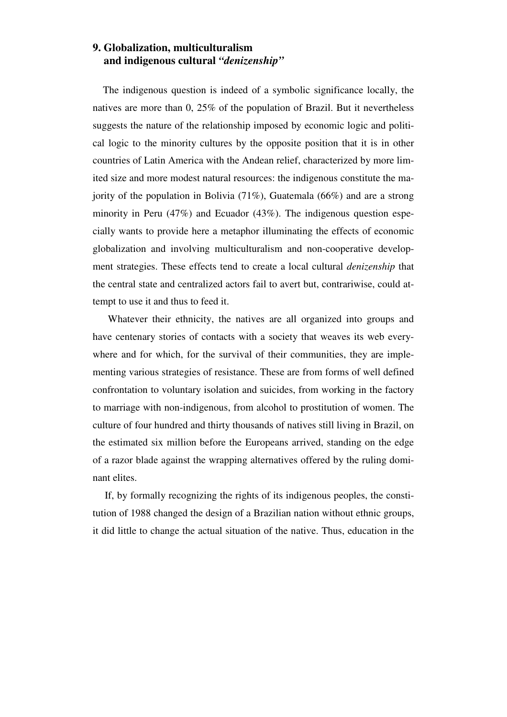## **9. Globalization, multiculturalism and indigenous cultural** *"denizenship"*

 The indigenous question is indeed of a symbolic significance locally, the natives are more than 0, 25% of the population of Brazil. But it nevertheless suggests the nature of the relationship imposed by economic logic and political logic to the minority cultures by the opposite position that it is in other countries of Latin America with the Andean relief, characterized by more limited size and more modest natural resources: the indigenous constitute the majority of the population in Bolivia (71%), Guatemala (66%) and are a strong minority in Peru  $(47%)$  and Ecuador  $(43%)$ . The indigenous question especially wants to provide here a metaphor illuminating the effects of economic globalization and involving multiculturalism and non-cooperative development strategies. These effects tend to create a local cultural *denizenship* that the central state and centralized actors fail to avert but, contrariwise, could attempt to use it and thus to feed it.

Whatever their ethnicity, the natives are all organized into groups and have centenary stories of contacts with a society that weaves its web everywhere and for which, for the survival of their communities, they are implementing various strategies of resistance. These are from forms of well defined confrontation to voluntary isolation and suicides, from working in the factory to marriage with non-indigenous, from alcohol to prostitution of women. The culture of four hundred and thirty thousands of natives still living in Brazil, on the estimated six million before the Europeans arrived, standing on the edge of a razor blade against the wrapping alternatives offered by the ruling dominant elites.

If, by formally recognizing the rights of its indigenous peoples, the constitution of 1988 changed the design of a Brazilian nation without ethnic groups, it did little to change the actual situation of the native. Thus, education in the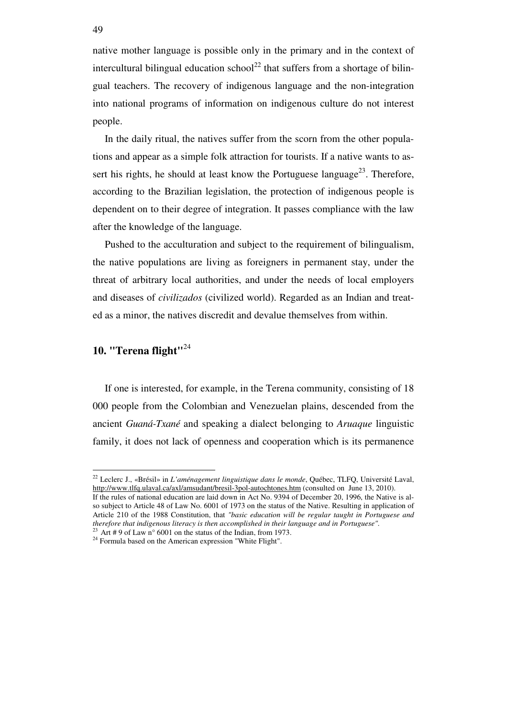native mother language is possible only in the primary and in the context of intercultural bilingual education school<sup>22</sup> that suffers from a shortage of bilingual teachers. The recovery of indigenous language and the non-integration into national programs of information on indigenous culture do not interest people.

In the daily ritual, the natives suffer from the scorn from the other populations and appear as a simple folk attraction for tourists. If a native wants to assert his rights, he should at least know the Portuguese language<sup>23</sup>. Therefore, according to the Brazilian legislation, the protection of indigenous people is dependent on to their degree of integration. It passes compliance with the law after the knowledge of the language.

Pushed to the acculturation and subject to the requirement of bilingualism, the native populations are living as foreigners in permanent stay, under the threat of arbitrary local authorities, and under the needs of local employers and diseases of *civilizados* (civilized world). Regarded as an Indian and treated as a minor, the natives discredit and devalue themselves from within.

## **10. "Terena flight"**<sup>24</sup>

 $\overline{a}$ 

If one is interested, for example, in the Terena community, consisting of 18 000 people from the Colombian and Venezuelan plains, descended from the ancient *Guaná-Txané* and speaking a dialect belonging to *Aruaque* linguistic family, it does not lack of openness and cooperation which is its permanence

<sup>22</sup> Leclerc J., «Brésil» in *L'aménagement linguistique dans le monde*, Québec, TLFQ, Université Laval, http://www.tlfq.ulaval.ca/axl/amsudant/bresil-3pol-autochtones.htm (consulted on June 13, 2010). If the rules of national education are laid down in Act No. 9394 of December 20, 1996, the Native is al-

so subject to Article 48 of Law No. 6001 of 1973 on the status of the Native. Resulting in application of Article 210 of the 1988 Constitution, that *"basic education will be regular taught in Portuguese and therefore that indigenous literacy is then accomplished in their language and in Portuguese".* <sup>23</sup> Art # 9 of Law n° 6001 on the status of the Indian, from 1973.

<sup>24</sup> Formula based on the American expression "White Flight".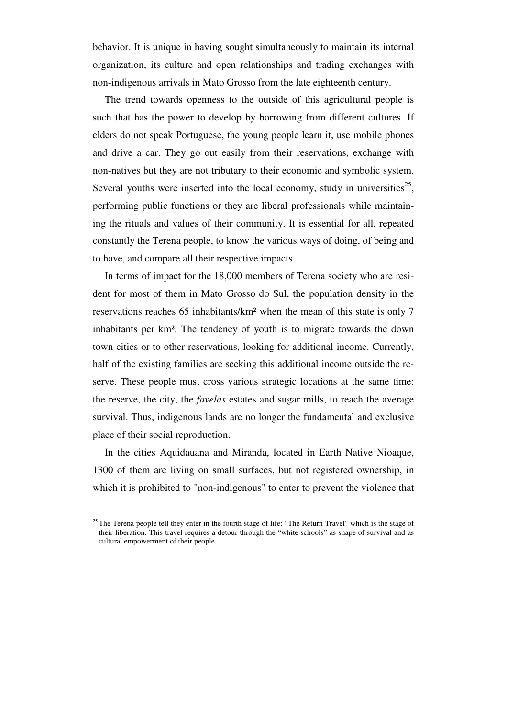behavior. It is unique in having sought simultaneously to maintain its internal organization, its culture and open relationships and trading exchanges with non-indigenous arrivals in Mato Grosso from the late eighteenth century.

The trend towards openness to the outside of this agricultural people is such that has the power to develop by borrowing from different cultures. If elders do not speak Portuguese, the young people learn it, use mobile phones and drive a car. They go out easily from their reservations, exchange with non-natives but they are not tributary to their economic and symbolic system. Several youths were inserted into the local economy, study in universities<sup>25</sup>, performing public functions or they are liberal professionals while maintaining the rituals and values of their community. It is essential for all, repeated constantly the Terena people, to know the various ways of doing, of being and to have, and compare all their respective impacts.

In terms of impact for the 18,000 members of Terena society who are resident for most of them in Mato Grosso do Sul, the population density in the reservations reaches 65 inhabitants/km² when the mean of this state is only 7 inhabitants per km². The tendency of youth is to migrate towards the down town cities or to other reservations, looking for additional income. Currently, half of the existing families are seeking this additional income outside the reserve. These people must cross various strategic locations at the same time: the reserve, the city, the *favelas* estates and sugar mills, to reach the average survival. Thus, indigenous lands are no longer the fundamental and exclusive place of their social reproduction.

In the cities Aquidauana and Miranda, located in Earth Native Nioaque, 1300 of them are living on small surfaces, but not registered ownership, in which it is prohibited to "non-indigenous" to enter to prevent the violence that

<sup>&</sup>lt;sup>25</sup> The Terena people tell they enter in the fourth stage of life: "The Return Travel" which is the stage of their liberation. This travel requires a detour through the "white schools" as shape of survival and as cultural empowerment of their people.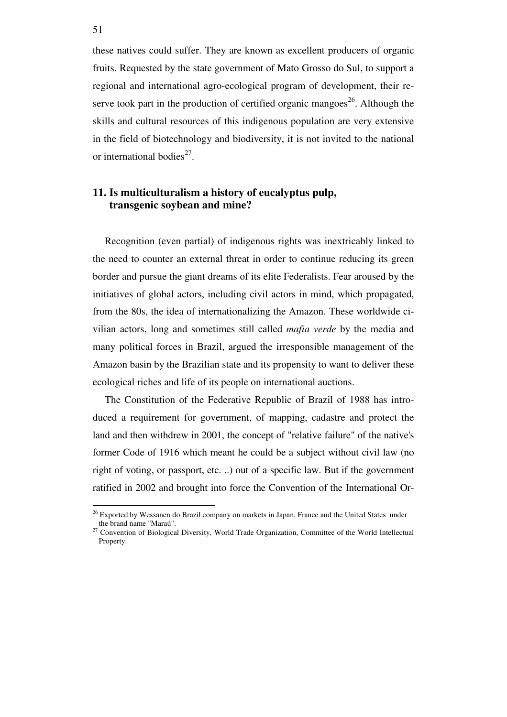these natives could suffer. They are known as excellent producers of organic fruits. Requested by the state government of Mato Grosso do Sul, to support a regional and international agro-ecological program of development, their reserve took part in the production of certified organic mangoes<sup>26</sup>. Although the skills and cultural resources of this indigenous population are very extensive in the field of biotechnology and biodiversity, it is not invited to the national or international bodies<sup>27</sup>.

## **11. Is multiculturalism a history of eucalyptus pulp, transgenic soybean and mine?**

Recognition (even partial) of indigenous rights was inextricably linked to the need to counter an external threat in order to continue reducing its green border and pursue the giant dreams of its elite Federalists. Fear aroused by the initiatives of global actors, including civil actors in mind, which propagated, from the 80s, the idea of internationalizing the Amazon. These worldwide civilian actors, long and sometimes still called *mafia verde* by the media and many political forces in Brazil, argued the irresponsible management of the Amazon basin by the Brazilian state and its propensity to want to deliver these ecological riches and life of its people on international auctions.

The Constitution of the Federative Republic of Brazil of 1988 has introduced a requirement for government, of mapping, cadastre and protect the land and then withdrew in 2001, the concept of "relative failure" of the native's former Code of 1916 which meant he could be a subject without civil law (no right of voting, or passport, etc. ..) out of a specific law. But if the government ratified in 2002 and brought into force the Convention of the International Or-

<sup>&</sup>lt;sup>26</sup> Exported by Wessanen do Brazil company on markets in Japan, France and the United States under the brand name "Maraú".

<sup>&</sup>lt;sup>27</sup> Convention of Biological Diversity, World Trade Organization, Committee of the World Intellectual Property.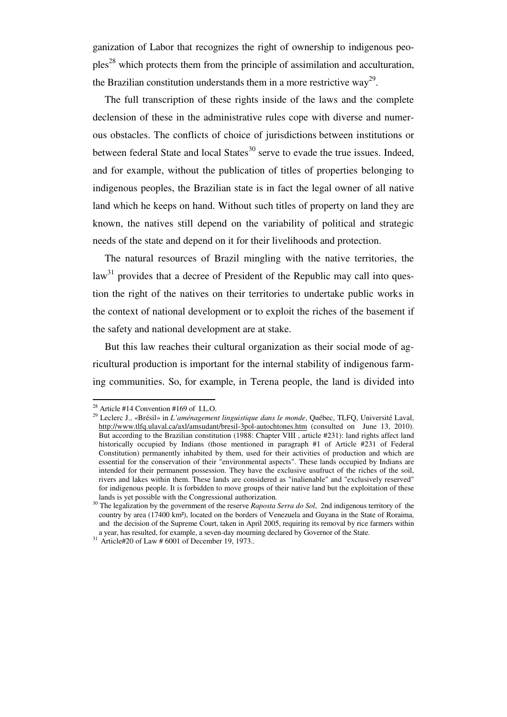ganization of Labor that recognizes the right of ownership to indigenous peo $ples<sup>28</sup>$  which protects them from the principle of assimilation and acculturation, the Brazilian constitution understands them in a more restrictive way<sup>29</sup>.

The full transcription of these rights inside of the laws and the complete declension of these in the administrative rules cope with diverse and numerous obstacles. The conflicts of choice of jurisdictions between institutions or between federal State and local States $30$  serve to evade the true issues. Indeed, and for example, without the publication of titles of properties belonging to indigenous peoples, the Brazilian state is in fact the legal owner of all native land which he keeps on hand. Without such titles of property on land they are known, the natives still depend on the variability of political and strategic needs of the state and depend on it for their livelihoods and protection.

The natural resources of Brazil mingling with the native territories, the  $law<sup>31</sup>$  provides that a decree of President of the Republic may call into question the right of the natives on their territories to undertake public works in the context of national development or to exploit the riches of the basement if the safety and national development are at stake.

But this law reaches their cultural organization as their social mode of agricultural production is important for the internal stability of indigenous farming communities. So, for example, in Terena people, the land is divided into

 $^{28}$  Article #14 Convention #169 of I.L.O.

<sup>29</sup> Leclerc J., «Brésil» in *L'aménagement linguistique dans le monde*, Québec, TLFQ, Université Laval, http://www.tlfq.ulaval.ca/axl/amsudant/bresil-3pol-autochtones.htm (consulted on June 13, 2010). But according to the Brazilian constitution (1988: Chapter VIII , article #231): land rights affect land historically occupied by Indians (those mentioned in paragraph #1 of Article #231 of Federal Constitution) permanently inhabited by them, used for their activities of production and which are essential for the conservation of their "environmental aspects". These lands occupied by Indians are intended for their permanent possession. They have the exclusive usufruct of the riches of the soil, rivers and lakes within them. These lands are considered as "inalienable" and "exclusively reserved" for indigenous people. It is forbidden to move groups of their native land but the exploitation of these lands is yet possible with the Congressional authorization.

<sup>&</sup>lt;sup>30</sup> The legalization by the government of the reserve *Raposta Serra do Sol*, 2nd indigenous territory of the country by area (17400 km²), located on the borders of Venezuela and Guyana in the State of Roraima, and the decision of the Supreme Court, taken in April 2005, requiring its removal by rice farmers within a year, has resulted, for example, a seven-day mourning declared by Governor of the State.

 $31$  Article#20 of Law # 6001 of December 19, 1973..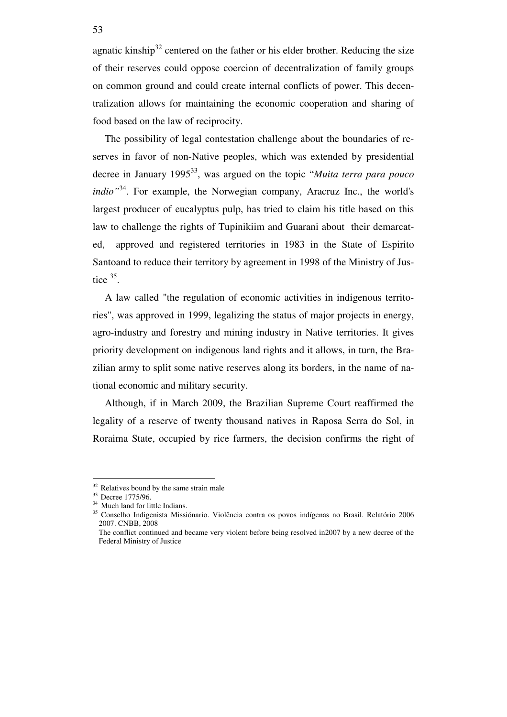agnatic kinship<sup>32</sup> centered on the father or his elder brother. Reducing the size of their reserves could oppose coercion of decentralization of family groups on common ground and could create internal conflicts of power. This decentralization allows for maintaining the economic cooperation and sharing of food based on the law of reciprocity.

The possibility of legal contestation challenge about the boundaries of reserves in favor of non-Native peoples, which was extended by presidential decree in January 1995<sup>33</sup>, was argued on the topic "*Muita terra para pouco indio"*<sup>34</sup>. For example, the Norwegian company, Aracruz Inc., the world's largest producer of eucalyptus pulp, has tried to claim his title based on this law to challenge the rights of Tupinikiim and Guarani about their demarcated, approved and registered territories in 1983 in the State of Espirito Santoand to reduce their territory by agreement in 1998 of the Ministry of Justice  $35$ .

A law called "the regulation of economic activities in indigenous territories", was approved in 1999, legalizing the status of major projects in energy, agro-industry and forestry and mining industry in Native territories. It gives priority development on indigenous land rights and it allows, in turn, the Brazilian army to split some native reserves along its borders, in the name of national economic and military security.

Although, if in March 2009, the Brazilian Supreme Court reaffirmed the legality of a reserve of twenty thousand natives in Raposa Serra do Sol, in Roraima State, occupied by rice farmers, the decision confirms the right of

<sup>&</sup>lt;sup>32</sup> Relatives bound by the same strain male

<sup>33</sup> Decree 1775/96.

<sup>&</sup>lt;sup>34</sup> Much land for little Indians.

<sup>35</sup> Conselho Indigenista Missiónario. Violência contra os povos indígenas no Brasil. Relatório 2006 2007. CNBB, 2008

The conflict continued and became very violent before being resolved in2007 by a new decree of the Federal Ministry of Justice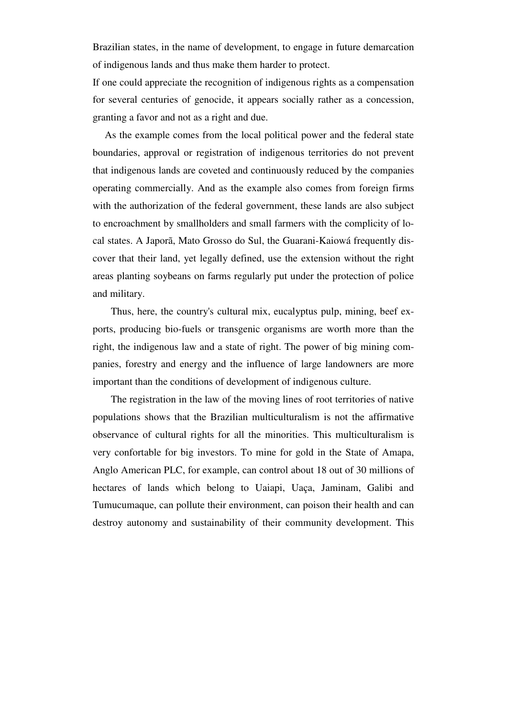Brazilian states, in the name of development, to engage in future demarcation of indigenous lands and thus make them harder to protect.

If one could appreciate the recognition of indigenous rights as a compensation for several centuries of genocide, it appears socially rather as a concession, granting a favor and not as a right and due.

As the example comes from the local political power and the federal state boundaries, approval or registration of indigenous territories do not prevent that indigenous lands are coveted and continuously reduced by the companies operating commercially. And as the example also comes from foreign firms with the authorization of the federal government, these lands are also subject to encroachment by smallholders and small farmers with the complicity of local states. A Japorã, Mato Grosso do Sul, the Guarani-Kaiowá frequently discover that their land, yet legally defined, use the extension without the right areas planting soybeans on farms regularly put under the protection of police and military.

Thus, here, the country's cultural mix, eucalyptus pulp, mining, beef exports, producing bio-fuels or transgenic organisms are worth more than the right, the indigenous law and a state of right. The power of big mining companies, forestry and energy and the influence of large landowners are more important than the conditions of development of indigenous culture.

The registration in the law of the moving lines of root territories of native populations shows that the Brazilian multiculturalism is not the affirmative observance of cultural rights for all the minorities. This multiculturalism is very confortable for big investors. To mine for gold in the State of Amapa, Anglo American PLC, for example, can control about 18 out of 30 millions of hectares of lands which belong to Uaiapi, Uaça, Jaminam, Galibi and Tumucumaque, can pollute their environment, can poison their health and can destroy autonomy and sustainability of their community development. This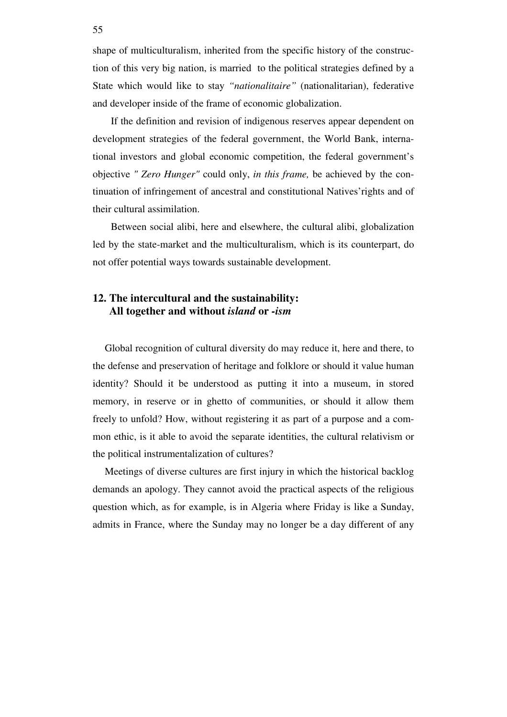shape of multiculturalism, inherited from the specific history of the construction of this very big nation, is married to the political strategies defined by a State which would like to stay *"nationalitaire"* (nationalitarian), federative and developer inside of the frame of economic globalization.

If the definition and revision of indigenous reserves appear dependent on development strategies of the federal government, the World Bank, international investors and global economic competition, the federal government's objective *" Zero Hunger"* could only, *in this frame,* be achieved by the continuation of infringement of ancestral and constitutional Natives'rights and of their cultural assimilation.

Between social alibi, here and elsewhere, the cultural alibi, globalization led by the state-market and the multiculturalism, which is its counterpart, do not offer potential ways towards sustainable development.

## **12. The intercultural and the sustainability: All together and without** *island* **or** *-ism*

Global recognition of cultural diversity do may reduce it, here and there, to the defense and preservation of heritage and folklore or should it value human identity? Should it be understood as putting it into a museum, in stored memory, in reserve or in ghetto of communities, or should it allow them freely to unfold? How, without registering it as part of a purpose and a common ethic, is it able to avoid the separate identities, the cultural relativism or the political instrumentalization of cultures?

Meetings of diverse cultures are first injury in which the historical backlog demands an apology. They cannot avoid the practical aspects of the religious question which, as for example, is in Algeria where Friday is like a Sunday, admits in France, where the Sunday may no longer be a day different of any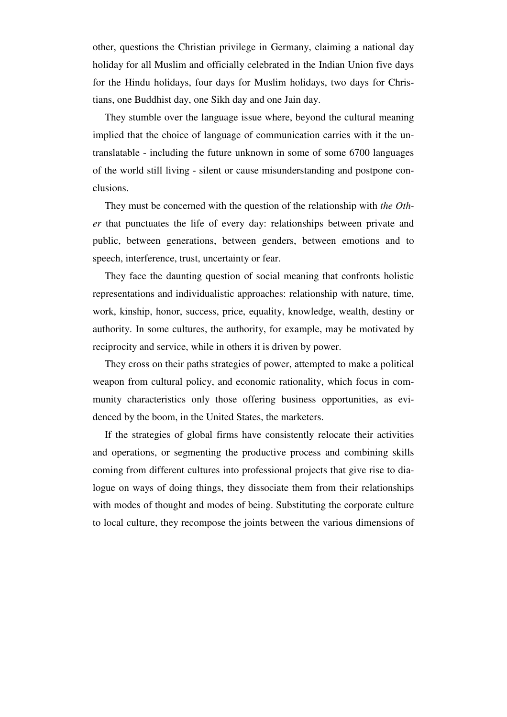other, questions the Christian privilege in Germany, claiming a national day holiday for all Muslim and officially celebrated in the Indian Union five days for the Hindu holidays, four days for Muslim holidays, two days for Christians, one Buddhist day, one Sikh day and one Jain day.

They stumble over the language issue where, beyond the cultural meaning implied that the choice of language of communication carries with it the untranslatable - including the future unknown in some of some 6700 languages of the world still living - silent or cause misunderstanding and postpone conclusions.

They must be concerned with the question of the relationship with *the Other* that punctuates the life of every day: relationships between private and public, between generations, between genders, between emotions and to speech, interference, trust, uncertainty or fear.

They face the daunting question of social meaning that confronts holistic representations and individualistic approaches: relationship with nature, time, work, kinship, honor, success, price, equality, knowledge, wealth, destiny or authority. In some cultures, the authority, for example, may be motivated by reciprocity and service, while in others it is driven by power.

They cross on their paths strategies of power, attempted to make a political weapon from cultural policy, and economic rationality, which focus in community characteristics only those offering business opportunities, as evidenced by the boom, in the United States, the marketers.

If the strategies of global firms have consistently relocate their activities and operations, or segmenting the productive process and combining skills coming from different cultures into professional projects that give rise to dialogue on ways of doing things, they dissociate them from their relationships with modes of thought and modes of being. Substituting the corporate culture to local culture, they recompose the joints between the various dimensions of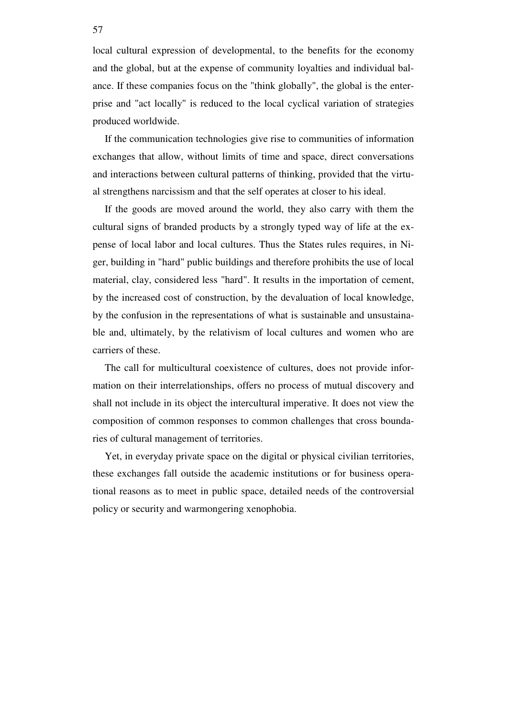local cultural expression of developmental, to the benefits for the economy and the global, but at the expense of community loyalties and individual balance. If these companies focus on the "think globally", the global is the enterprise and "act locally" is reduced to the local cyclical variation of strategies produced worldwide.

If the communication technologies give rise to communities of information exchanges that allow, without limits of time and space, direct conversations and interactions between cultural patterns of thinking, provided that the virtual strengthens narcissism and that the self operates at closer to his ideal.

If the goods are moved around the world, they also carry with them the cultural signs of branded products by a strongly typed way of life at the expense of local labor and local cultures. Thus the States rules requires, in Niger, building in "hard" public buildings and therefore prohibits the use of local material, clay, considered less "hard". It results in the importation of cement, by the increased cost of construction, by the devaluation of local knowledge, by the confusion in the representations of what is sustainable and unsustainable and, ultimately, by the relativism of local cultures and women who are carriers of these.

The call for multicultural coexistence of cultures, does not provide information on their interrelationships, offers no process of mutual discovery and shall not include in its object the intercultural imperative. It does not view the composition of common responses to common challenges that cross boundaries of cultural management of territories.

Yet, in everyday private space on the digital or physical civilian territories, these exchanges fall outside the academic institutions or for business operational reasons as to meet in public space, detailed needs of the controversial policy or security and warmongering xenophobia.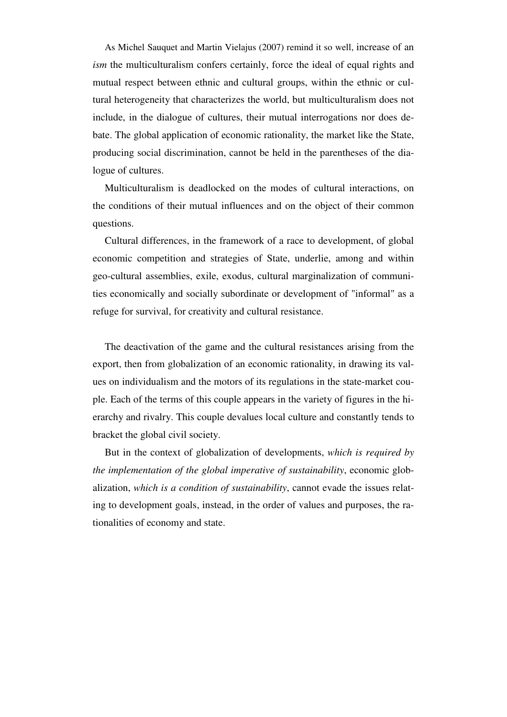As Michel Sauquet and Martin Vielajus (2007) remind it so well, increase of an *ism* the multiculturalism confers certainly, force the ideal of equal rights and mutual respect between ethnic and cultural groups, within the ethnic or cultural heterogeneity that characterizes the world, but multiculturalism does not include, in the dialogue of cultures, their mutual interrogations nor does debate. The global application of economic rationality, the market like the State, producing social discrimination, cannot be held in the parentheses of the dialogue of cultures.

Multiculturalism is deadlocked on the modes of cultural interactions, on the conditions of their mutual influences and on the object of their common questions.

Cultural differences, in the framework of a race to development, of global economic competition and strategies of State, underlie, among and within geo-cultural assemblies, exile, exodus, cultural marginalization of communities economically and socially subordinate or development of "informal" as a refuge for survival, for creativity and cultural resistance.

The deactivation of the game and the cultural resistances arising from the export, then from globalization of an economic rationality, in drawing its values on individualism and the motors of its regulations in the state-market couple. Each of the terms of this couple appears in the variety of figures in the hierarchy and rivalry. This couple devalues local culture and constantly tends to bracket the global civil society.

But in the context of globalization of developments, *which is required by the implementation of the global imperative of sustainability*, economic globalization, *which is a condition of sustainability*, cannot evade the issues relating to development goals, instead, in the order of values and purposes, the rationalities of economy and state.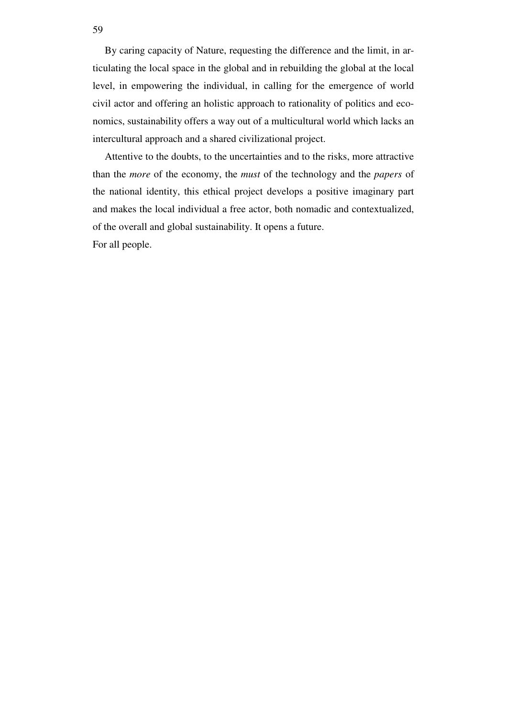By caring capacity of Nature, requesting the difference and the limit, in articulating the local space in the global and in rebuilding the global at the local level, in empowering the individual, in calling for the emergence of world civil actor and offering an holistic approach to rationality of politics and economics, sustainability offers a way out of a multicultural world which lacks an intercultural approach and a shared civilizational project.

Attentive to the doubts, to the uncertainties and to the risks, more attractive than the *more* of the economy, the *must* of the technology and the *papers* of the national identity, this ethical project develops a positive imaginary part and makes the local individual a free actor, both nomadic and contextualized, of the overall and global sustainability. It opens a future.

For all people.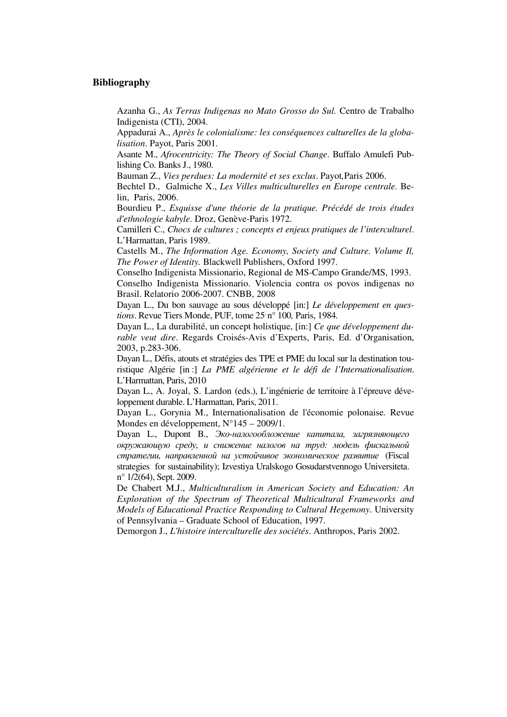### **Bibliography**

Azanha G., *As Terras Indigenas no Mato Grosso do Sul.* Centro de Trabalho Indigenista (CTI), 2004.

Appadurai A., *Après le colonialisme: les conséquences culturelles de la globalisation*. Payot, Paris 2001.

Asante M., *Afrocentricity: The Theory of Social Change*. Buffalo Amulefi Publishing Co. Banks J., 1980.

Bauman Z., *Vies perdues: La modernité et ses exclus*. Payot*,*Paris 2006.

Bechtel D., Galmiche X., *Les Villes multiculturelles en Europe centrale.* Belin, Paris, 2006.

Bourdieu P., *Esquisse d'une théorie de la pratique. Précédé de trois études d'ethnologie kabyle*. Droz, Genève-Paris 1972.

Camilleri C., *Chocs de cultures ; concepts et enjeux pratiques de l'interculturel*. L'Harmattan, Paris 1989.

Castells M., *The Information Age. Economy, Society and Culture. Volume Il, The Power of Identity.* Blackwell Publishers, Oxford 1997.

Conselho Indigenista Missionario, Regional de MS-Campo Grande/MS, 1993.

Conselho Indigenista Missionario. Violencia contra os povos indigenas no Brasil. Relatorio 2006-2007. CNBB, 2008

Dayan L., Du bon sauvage au sous développé [in:] *Le développement en questions*. Revue Tiers Monde, PUF, tome  $25 \text{°n}$ <sup>o</sup> 100, Paris, 1984.

Dayan L., La durabilité, un concept holistique, [in:] *Ce que développement durable veut dire*. Regards Croisés-Avis d'Experts, Paris, Ed. d'Organisation, 2003, p.283-306.

Dayan L., Défis, atouts et stratégies des TPE et PME du local sur la destination touristique Algérie [in :] *La PME algérienne et le défi de l'Internationalisation*. L'Harmattan, Paris, 2010

Dayan L., A. Joyal, S. Lardon (eds.), L'ingénierie de territoire à l'épreuve développement durable. L'Harmattan, Paris, 2011.

Dayan L., Gorynia M., Internationalisation de l'économie polonaise*.* Revue Mondes en développement, N°145 – 2009/1.

Dayan L., Dupont B., Эко*-*налогообложение капитала*,* загрязняющего окружающую среду*,* и снижение налогов на труд*:* модель фискальной стратегии*,* направленной на устойчивое экономическое развитие (Fiscal strategies for sustainability); Izvestiya Uralskogo Gosudarstvennogo Universiteta. n° 1/2(64), Sept. 2009.

De Chabert M.J., *Multiculturalism in American Society and Education: An Exploration of the Spectrum of Theoretical Multicultural Frameworks and Models of Educational Practice Responding to Cultural Hegemony*. University of Pennsylvania – Graduate School of Education, 1997.

Demorgon J., *L'histoire interculturelle des sociétés*. Anthropos, Paris 2002.